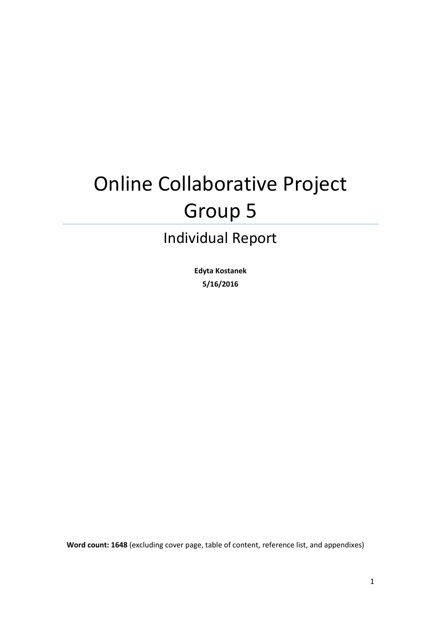# Online Collaborative Project Group 5

# Individual Report

**Edyta Kostanek 5/16/2016**

**Word count: 1648** (excluding cover page, table of content, reference list, and appendixes)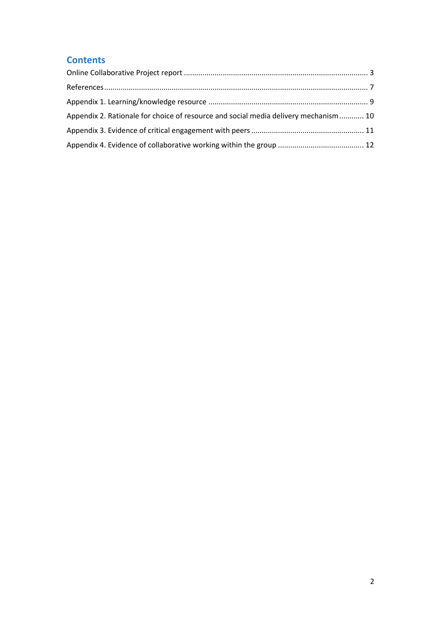## **Contents**

| Appendix 2. Rationale for choice of resource and social media delivery mechanism 10 |  |
|-------------------------------------------------------------------------------------|--|
|                                                                                     |  |
|                                                                                     |  |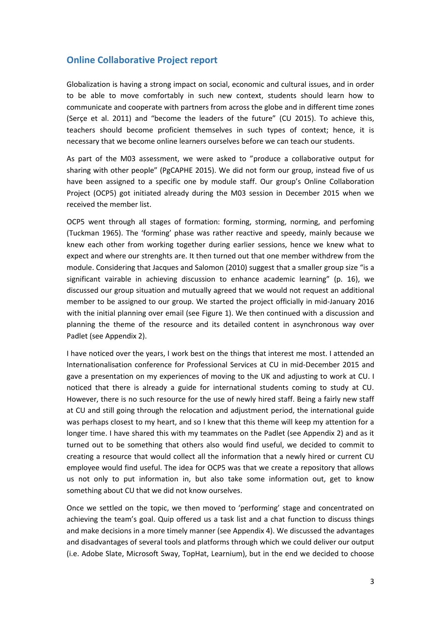#### <span id="page-2-0"></span>**Online Collaborative Project report**

Globalization is having a strong impact on social, economic and cultural issues, and in order to be able to move comfortably in such new context, students should learn how to communicate and cooperate with partners from across the globe and in different time zones (Serçe et al. 2011) and "become the leaders of the future" (CU 2015). To achieve this, teachers should become proficient themselves in such types of context; hence, it is necessary that we become online learners ourselves before we can teach our students.

As part of the M03 assessment, we were asked to "produce a collaborative output for sharing with other people" (PgCAPHE 2015). We did not form our group, instead five of us have been assigned to a specific one by module staff. Our group's Online Collaboration Project (OCP5) got initiated already during the M03 session in December 2015 when we received the member list.

OCP5 went through all stages of formation: forming, storming, norming, and perfoming (Tuckman 1965). The 'forming' phase was rather reactive and speedy, mainly because we knew each other from working together during earlier sessions, hence we knew what to expect and where our strenghts are. It then turned out that one member withdrew from the module. Considering that Jacques and Salomon (2010) suggest that a smaller group size "is a significant vairable in achieving discussion to enhance academic learning" (p. 16), we discussed our group situation and mutually agreed that we would not request an additional member to be assigned to our group. We started the project officially in mid-January 2016 with the initial planning over email (see Figure 1). We then continued with a discussion and planning the theme of the resource and its detailed content in asynchronous way over Padlet (see Appendix 2).

I have noticed over the years, I work best on the things that interest me most. I attended an Internationalisation conference for Professional Services at CU in mid-December 2015 and gave a presentation on my experiences of moving to the UK and adjusting to work at CU. I noticed that there is already a guide for international students coming to study at CU. However, there is no such resource for the use of newly hired staff. Being a fairly new staff at CU and still going through the relocation and adjustment period, the international guide was perhaps closest to my heart, and so I knew that this theme will keep my attention for a longer time. I have shared this with my teammates on the Padlet (see Appendix 2) and as it turned out to be something that others also would find useful, we decided to commit to creating a resource that would collect all the information that a newly hired or current CU employee would find useful. The idea for OCP5 was that we create a repository that allows us not only to put information in, but also take some information out, get to know something about CU that we did not know ourselves.

Once we settled on the topic, we then moved to 'performing' stage and concentrated on achieving the team's goal. Quip offered us a task list and a chat function to discuss things and make decisions in a more timely manner (see Appendix 4). We discussed the advantages and disadvantages of several tools and platforms through which we could deliver our output (i.e. Adobe Slate, Microsoft Sway, TopHat, Learnium), but in the end we decided to choose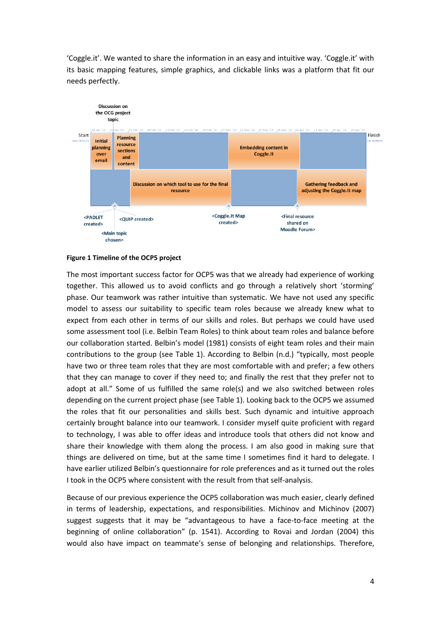'Coggle.it'. We wanted to share the information in an easy and intuitive way. 'Coggle.it' with its basic mapping features, simple graphics, and clickable links was a platform that fit our needs perfectly.



#### **Figure 1 Timeline of the OCP5 project**

The most important success factor for OCP5 was that we already had experience of working together. This allowed us to avoid conflicts and go through a relatively short 'storming' phase. Our teamwork was rather intuitive than systematic. We have not used any specific model to assess our suitability to specific team roles because we already knew what to expect from each other in terms of our skills and roles. But perhaps we could have used some assessment tool (i.e. Belbin Team Roles) to think about team roles and balance before our collaboration started. Belbin's model (1981) consists of eight team roles and their main contributions to the group (see Table 1). According to Belbin (n.d.) "typically, most people have two or three team roles that they are most comfortable with and prefer; a few others that they can manage to cover if they need to; and finally the rest that they prefer not to adopt at all." Some of us fulfilled the same role(s) and we also switched between roles depending on the current project phase (see Table 1). Looking back to the OCP5 we assumed the roles that fit our personalities and skills best. Such dynamic and intuitive approach certainly brought balance into our teamwork. I consider myself quite proficient with regard to technology, I was able to offer ideas and introduce tools that others did not know and share their knowledge with them along the process. I am also good in making sure that things are delivered on time, but at the same time I sometimes find it hard to delegate. I have earlier utilized Belbin's questionnaire for role preferences and as it turned out the roles I took in the OCP5 where consistent with the result from that self-analysis.

Because of our previous experience the OCP5 collaboration was much easier, clearly defined in terms of leadership, expectations, and responsibilities. Michinov and Michinov (2007) suggest suggests that it may be "advantageous to have a face-to-face meeting at the beginning of online collaboration" (p. 1541). According to Rovai and Jordan (2004) this would also have impact on teammate's sense of belonging and relationships. Therefore,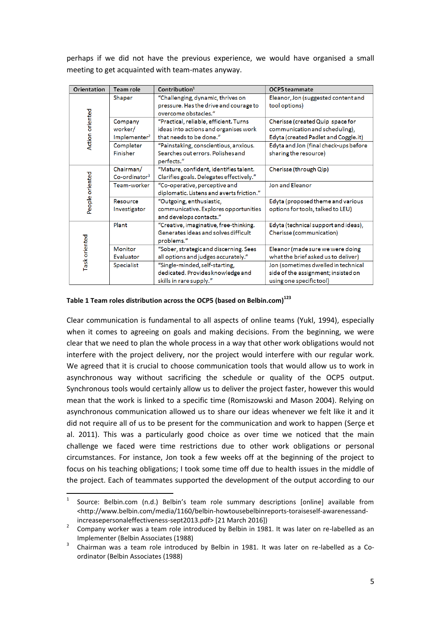perhaps if we did not have the previous experience, we would have organised a small meeting to get acquainted with team-mates anyway.

| Orientation     | Team role                                      | Contribution <sup>1</sup>                                                                                  | OCP5 teammate                                                                                              |
|-----------------|------------------------------------------------|------------------------------------------------------------------------------------------------------------|------------------------------------------------------------------------------------------------------------|
| Action oriented | Shaper                                         | "Challenging, dynamic, thrives on<br>pressure. Has the drive and courage to<br>overcome obstacles."        | Eleanor, Jon (suggested content and<br>tool options)                                                       |
|                 | Company<br>worker/<br>Implementer <sup>2</sup> | "Practical, reliable, efficient. Turns<br>ideas into actions and organises work<br>that needs to be done." | Cherisse (created Quip space for<br>communication and scheduling),<br>Edyta (created Padlet and Coggle.it) |
|                 | Completer<br><b>Finisher</b>                   | "Painstaking, conscientious, anxious.<br>Searches out errors. Polishes and<br>perfects."                   | Edyta and Jon (final check-ups before<br>sharing the resource)                                             |
| People oriented | Chairman/<br>Co-ordinator <sup>3</sup>         | "Mature, confident, identifies talent.<br>Clarifies goals. Delegates effectively."                         | Cherisse (through Qip)                                                                                     |
|                 | Team-worker                                    | "Co-operative, perceptive and<br>diplomatic. Listens and averts friction."                                 | Jon and Eleanor                                                                                            |
|                 | <b>Resource</b><br>Investigator                | "Outgoing, enthusiastic,<br>communicative. Explores opportunities<br>and develops contacts."               | Edyta (proposed theme and various<br>options for tools, talked to LEU)                                     |
| Task oriented   | Plant                                          | "Creative, imaginative, free-thinking.<br>Generates ideas and solves difficult<br>problems."               | Edyta (technical support and ideas),<br>Cherisse (communication)                                           |
|                 | <b>Monitor</b><br>Evaluator                    | "Sober, strategic and discerning. Sees<br>all options and judges accurately."                              | Eleanor (made sure we were doing<br>what the brief asked us to deliver)                                    |
|                 | <b>Specialist</b>                              | "Single-minded, self-starting,<br>dedicated. Provides knowledge and<br>skills in rare supply."             | Jon (sometimes dwelled in technical<br>side of the assignment; insisted on<br>using one specific tool)     |

#### **Table 1 Team roles distribution across the OCP5 (based on Belbin.com)<sup>123</sup>**

**.** 

Clear communication is fundamental to all aspects of online teams (Yukl, 1994), especially when it comes to agreeing on goals and making decisions. From the beginning, we were clear that we need to plan the whole process in a way that other work obligations would not interfere with the project delivery, nor the project would interfere with our regular work. We agreed that it is crucial to choose communication tools that would allow us to work in asynchronous way without sacrificing the schedule or quality of the OCP5 output. Synchronous tools would certainly allow us to deliver the project faster, however this would mean that the work is linked to a specific time (Romiszowski and Mason 2004). Relying on asynchronous communication allowed us to share our ideas whenever we felt like it and it did not require all of us to be present for the communication and work to happen (Serçe et al. 2011). This was a particularly good choice as over time we noticed that the main challenge we faced were time restrictions due to other work obligations or personal circumstances. For instance, Jon took a few weeks off at the beginning of the project to focus on his teaching obligations; I took some time off due to health issues in the middle of the project. Each of teammates supported the development of the output according to our

<sup>1</sup> Source: Belbin.com (n.d.) Belbin's team role summary descriptions [online] available from <http://www.belbin.com/media/1160/belbin-howtousebelbinreports-toraiseself-awarenessandincreasepersonaleffectiveness-sept2013.pdf> [21 March 2016])

 $2^2$  Company worker was a team role introduced by Belbin in 1981. It was later on re-labelled as an Implementer (Belbin Associates (1988)

<sup>3</sup> Chairman was a team role introduced by Belbin in 1981. It was later on re-labelled as a Coordinator (Belbin Associates (1988)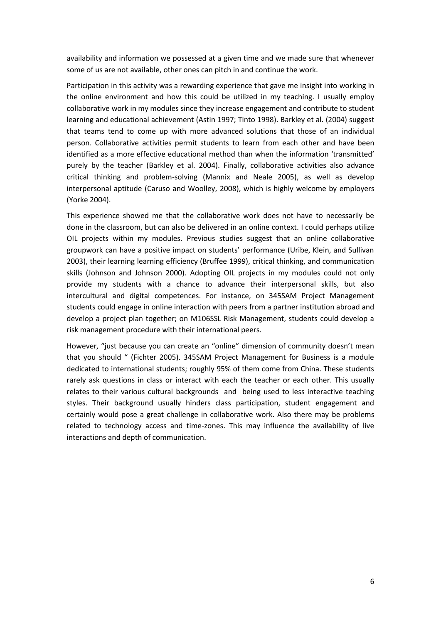availability and information we possessed at a given time and we made sure that whenever some of us are not available, other ones can pitch in and continue the work.

Participation in this activity was a rewarding experience that gave me insight into working in the online environment and how this could be utilized in my teaching. I usually employ collaborative work in my modules since they increase engagement and contribute to student learning and educational achievement (Astin 1997; Tinto 1998). Barkley et al. (2004) suggest that teams tend to come up with more advanced solutions that those of an individual person. Collaborative activities permit students to learn from each other and have been identified as a more effective educational method than when the information 'transmitted' purely by the teacher (Barkley et al. 2004). Finally, collaborative activities also advance critical thinking and problem-solving (Mannix and Neale 2005), as well as develop interpersonal aptitude (Caruso and Woolley, 2008), which is highly welcome by employers (Yorke 2004).

This experience showed me that the collaborative work does not have to necessarily be done in the classroom, but can also be delivered in an online context. I could perhaps utilize OIL projects within my modules. Previous studies suggest that an online collaborative groupwork can have a positive impact on students' performance (Uribe, Klein, and Sullivan 2003), their learning learning efficiency (Bruffee 1999), critical thinking, and communication skills (Johnson and Johnson 2000). Adopting OIL projects in my modules could not only provide my students with a chance to advance their interpersonal skills, but also intercultural and digital competences. For instance, on 345SAM Project Management students could engage in online interaction with peers from a partner institution abroad and develop a project plan together; on M106SSL Risk Management, students could develop a risk management procedure with their international peers.

However, "just because you can create an "online" dimension of community doesn't mean that you should " (Fichter 2005). 345SAM Project Management for Business is a module dedicated to international students; roughly 95% of them come from China. These students rarely ask questions in class or interact with each the teacher or each other. This usually relates to their various cultural backgrounds and being used to less interactive teaching styles. Their background usually hinders class participation, student engagement and certainly would pose a great challenge in collaborative work. Also there may be problems related to technology access and time-zones. This may influence the availability of live interactions and depth of communication.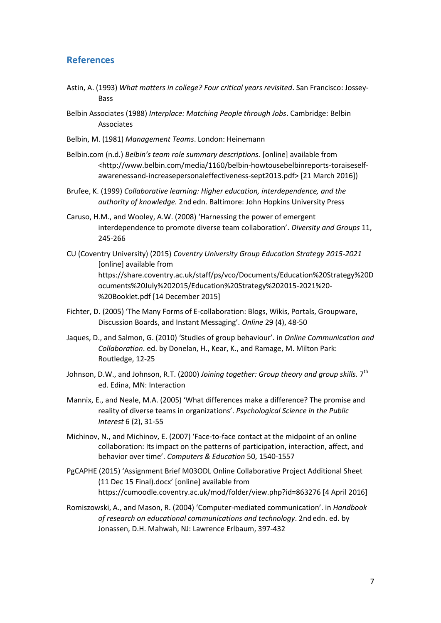#### <span id="page-6-0"></span>**References**

- Astin, A. (1993) *What matters in college? Four critical years revisited*. San Francisco: Jossey-Bass
- Belbin Associates (1988) *Interplace: Matching People through Jobs*. Cambridge: Belbin Associates
- [Belbin, M.](https://en.wikipedia.org/wiki/Meredith_Belbin) (1981) *Management Teams*. London: Heinemann
- Belbin.com (n.d.) *Belbin's team role summary descriptions.* [online] available from <http://www.belbin.com/media/1160/belbin-howtousebelbinreports-toraiseselfawarenessand-increasepersonaleffectiveness-sept2013.pdf> [21 March 2016])
- Brufee, K. (1999) *Collaborative learning: Higher education, interdependence, and the authority of knowledge.* 2nd edn. Baltimore: John Hopkins University Press
- Caruso, H.M., and Wooley, A.W. (2008) 'Harnessing the power of emergent interdependence to promote diverse team collaboration'. *Diversity and Groups* 11, 245-266
- CU (Coventry University) (2015) *Coventry University Group Education Strategy 2015-2021*  [online] available from https://share.coventry.ac.uk/staff/ps/vco/Documents/Education%20Strategy%20D ocuments%20July%202015/Education%20Strategy%202015-2021%20- %20Booklet.pdf [14 December 2015]
- Fichter, D. (2005) 'The Many Forms of E-collaboration: Blogs, Wikis, Portals, Groupware, Discussion Boards, and Instant Messaging'. *Online* 29 (4), 48-50
- Jaques, D., and Salmon, G. (2010) 'Studies of group behaviour'. in *Online Communication and Collaboration*. ed. by Donelan, H., Kear, K., and Ramage, M. Milton Park: Routledge, 12-25
- Johnson, D.W., and Johnson, R.T. (2000) *Joining together: Group theory and group skills.* 7<sup>th</sup> ed. Edina, MN: Interaction
- Mannix, E., and Neale, M.A. (2005) 'What differences make a difference? The promise and reality of diverse teams in organizations'. *Psychological Science in the Public Interest* 6 (2), 31-55
- Michinov, N., and Michinov, E. (2007) 'Face-to-face contact at the midpoint of an online collaboration: Its impact on the patterns of participation, interaction, affect, and behavior over time'. *Computers & Education* 50, 1540-1557
- PgCAPHE (2015) 'Assignment Brief M03ODL Online Collaborative Project Additional Sheet (11 Dec 15 Final).docx' [online] available from https://cumoodle.coventry.ac.uk/mod/folder/view.php?id=863276 [4 April 2016]
- Romiszowski, A., and Mason, R. (2004) 'Computer-mediated communication'. in *Handbook of research on educational communications and technology*. 2nd edn. ed. by Jonassen, D.H. Mahwah, NJ: Lawrence Erlbaum, 397-432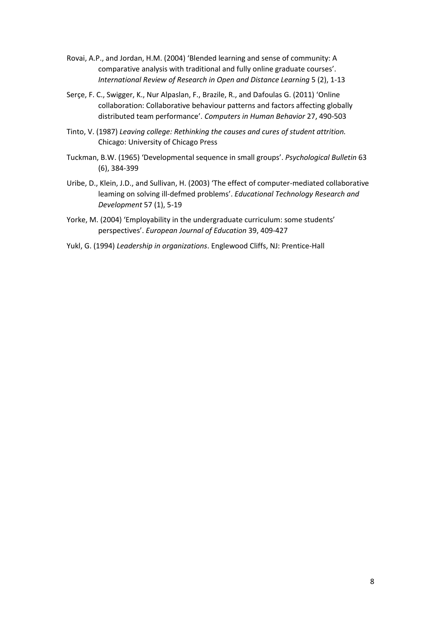- Rovai, A.P., and Jordan, H.M. (2004) 'Blended learning and sense of community: A comparative analysis with traditional and fully online graduate courses'. *International Review of Research in Open and Distance Learning* 5 (2), 1-13
- Serçe, F. C., Swigger, K., Nur Alpaslan, F., Brazile, R., and Dafoulas G. (2011) 'Online collaboration: Collaborative behaviour patterns and factors affecting globally distributed team performance'. *Computers in Human Behavior* 27, 490-503
- Tinto, V. (1987) *Leaving college: Rethinking the causes and cures of student attrition.*  Chicago: University of Chicago Press
- Tuckman, B.W. (1965) 'Developmental sequence in small groups'. *Psychological Bulletin* 63 (6), 384-399
- Uribe, D., Klein, J.D., and Sullivan, H. (2003) 'The effect of computer-mediated collaborative leaming on solving ill-defmed problems'. *Educational Technology Research and Development* 57 (1), 5-19
- Yorke, M. (2004) 'Employability in the undergraduate curriculum: some students' perspectives'. *European Journal of Education* 39, 409-427
- Yukl, G. (1994) *Leadership in organizations*. Englewood Cliffs, NJ: Prentice-Hall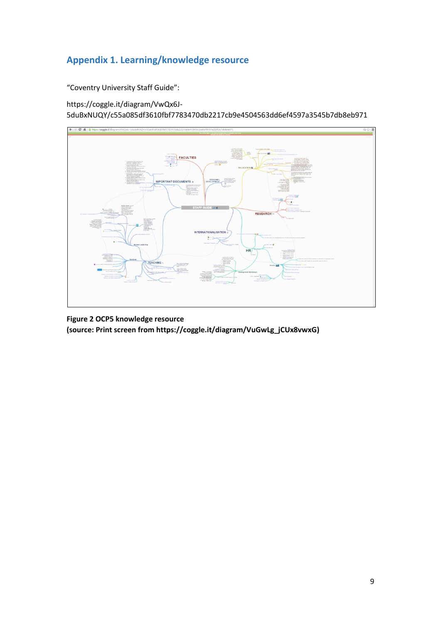# <span id="page-8-0"></span>**Appendix 1. Learning/knowledge resource**

"Coventry University Staff Guide":

https://coggle.it/diagram/VwQx6J-5duBxNUQY/c55a085df3610fbf7783470db2217cb9e4504563dd6ef4597a3545b7db8eb971



**Figure 2 OCP5 knowledge resource (source: Print screen from [https://coggle.it/diagram/VuGwLg\\_jCUx8vwxG\)](https://coggle.it/diagram/VuGwLg_jCUx8vwxG)**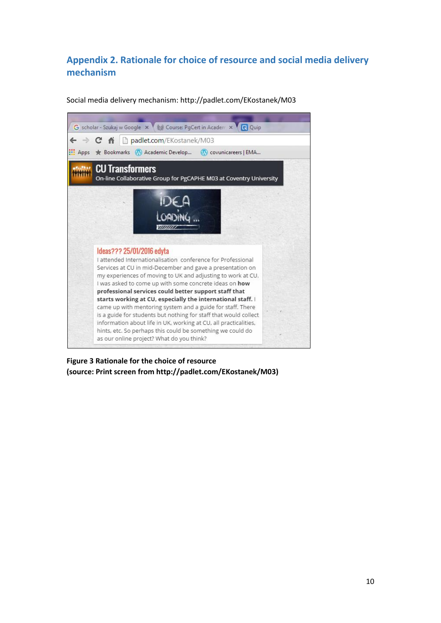# <span id="page-9-0"></span>**Appendix 2. Rationale for choice of resource and social media delivery mechanism**

Social media delivery mechanism:<http://padlet.com/EKostanek/M03>



**Figure 3 Rationale for the choice of resource (source: Print screen from [http://padlet.com/EKostanek/M03\)](http://padlet.com/EKostanek/M03)**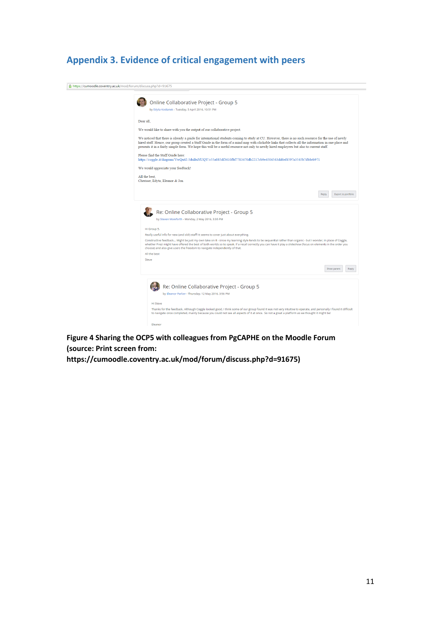# <span id="page-10-0"></span>**Appendix 3. Evidence of critical engagement with peers**



**Figure 4 Sharing the OCP5 with colleagues from PgCAPHE on the Moodle Forum (source: Print screen from:** 

**https://cumoodle.coventry.ac.uk/mod/forum/discuss.php?d=91675)**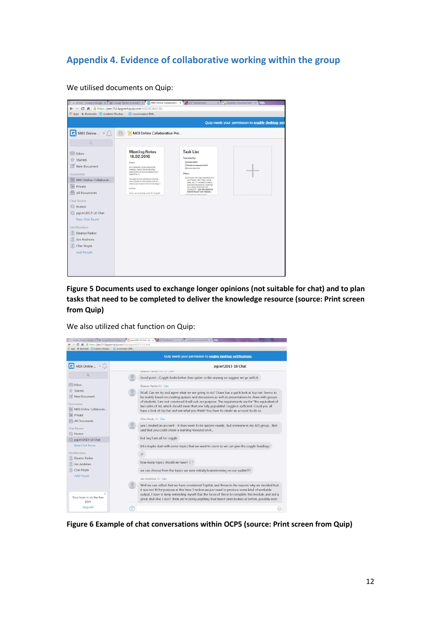### <span id="page-11-0"></span>**Appendix 4. Evidence of collaborative working within the group**

We utilised documents on Quip:

| Quip needs your permission to enable desktop not                                                                                                                                       |                                                                                                                                                                                                                                                                                                                                                                                                   |                                                                                                                                                                                                                                                                                                                                                                                                                       |  |  |  |  |
|----------------------------------------------------------------------------------------------------------------------------------------------------------------------------------------|---------------------------------------------------------------------------------------------------------------------------------------------------------------------------------------------------------------------------------------------------------------------------------------------------------------------------------------------------------------------------------------------------|-----------------------------------------------------------------------------------------------------------------------------------------------------------------------------------------------------------------------------------------------------------------------------------------------------------------------------------------------------------------------------------------------------------------------|--|--|--|--|
| M03 Online   v (                                                                                                                                                                       | M03 Online Collaborative Pro                                                                                                                                                                                                                                                                                                                                                                      |                                                                                                                                                                                                                                                                                                                                                                                                                       |  |  |  |  |
| a                                                                                                                                                                                      |                                                                                                                                                                                                                                                                                                                                                                                                   |                                                                                                                                                                                                                                                                                                                                                                                                                       |  |  |  |  |
| Inbox<br>Starred<br>New Document<br>Documents<br>M03 Online Collaborati<br>猫<br>Private<br>All Documents<br>Chat Rooms<br>Humor<br>pgcert2015-16 Chat<br>New Chat Room<br>Site Members | <b>Meeting Notes</b><br>18.02.2016<br>Higgst.<br>no in secretary's action intenting ter-<br>meeting - Lieason that the learning<br>respurite that we have to counte is provided.<br>sideration.35<br>We might be a bit ambitious in thisting<br>about a mode for loten cational staff etc<br>seed to navoir down what we are these<br><b>D'ation</b><br>remn, yes no perhaps a plan for the golde | <b>Task List</b><br>Top priority:<br>[2] director-Poddet<br>[2] Decide on easy present level<br>(2) deeper a look-list<br>Other:<br>E Consider which learning platform to<br>use (Topstat, Peal Trees, Adobe<br>sizioni, at gio versos desegi to create a<br>shortlearning response, acquirings<br>fet's create a mind inquivity.<br>COOCLE/T-JON WENEED TO<br>KNOW WHAT YOU THINK &<br>Chillenoideallammine pastaeti |  |  |  |  |
| Eleanor Parker<br>Jon Andrews                                                                                                                                                          |                                                                                                                                                                                                                                                                                                                                                                                                   |                                                                                                                                                                                                                                                                                                                                                                                                                       |  |  |  |  |
| Cher Hoyte<br>Add People                                                                                                                                                               |                                                                                                                                                                                                                                                                                                                                                                                                   |                                                                                                                                                                                                                                                                                                                                                                                                                       |  |  |  |  |

**Figure 5 Documents used to exchange longer opinions (not suitable for chat) and to plan tasks that need to be completed to deliver the knowledge resource (source: Print screen fro[m Quip\)](http://padlet.com/EKostanek/M03)**

We also utilized chat function on Quip:



**Figure 6 Example of chat conversations within OCP5 (source: Print screen fro[m Quip\)](http://padlet.com/EKostanek/M03)**